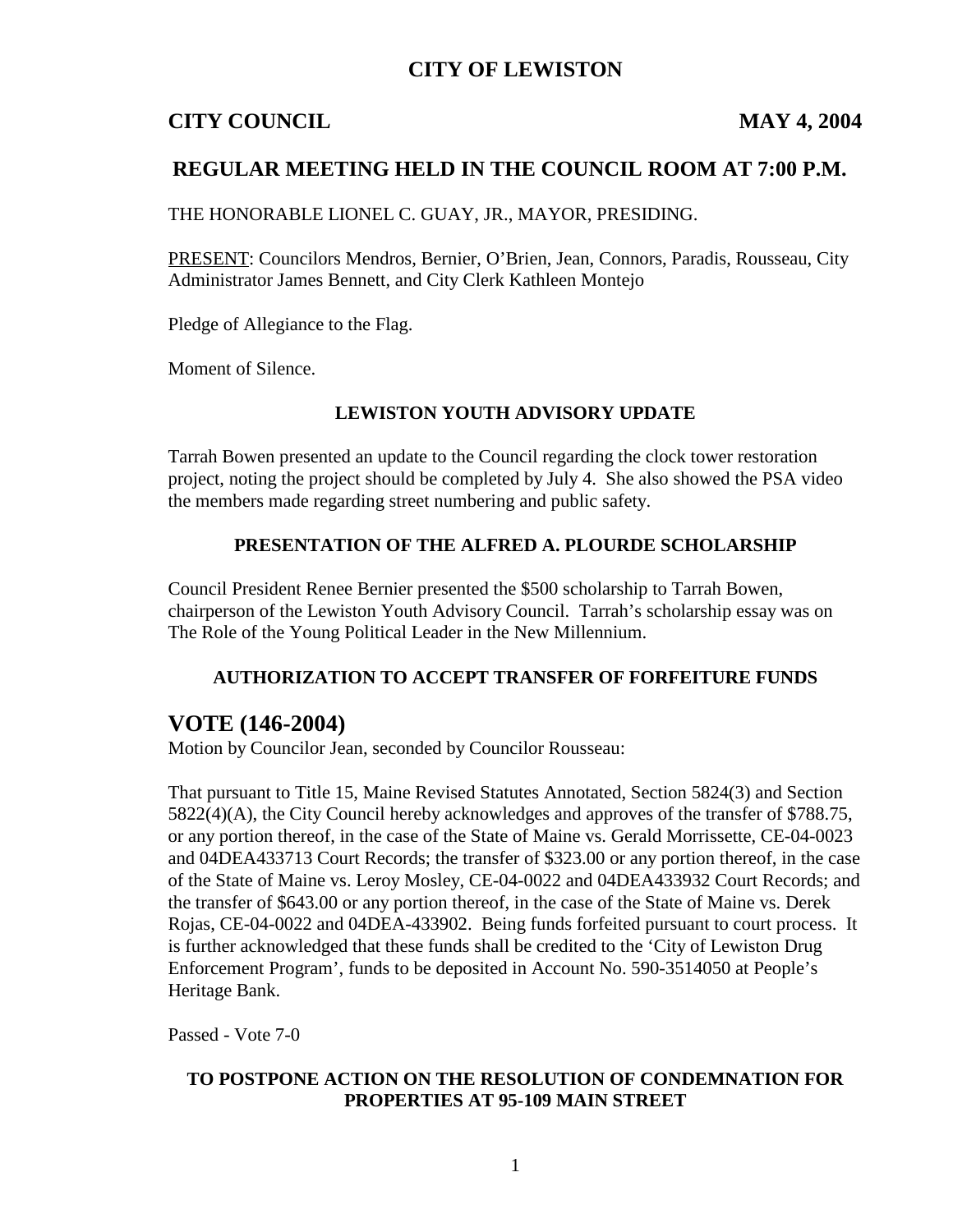## **CITY OF LEWISTON**

## **CITY COUNCIL MAY 4, 2004**

## **REGULAR MEETING HELD IN THE COUNCIL ROOM AT 7:00 P.M.**

THE HONORABLE LIONEL C. GUAY, JR., MAYOR, PRESIDING.

PRESENT: Councilors Mendros, Bernier, O'Brien, Jean, Connors, Paradis, Rousseau, City Administrator James Bennett, and City Clerk Kathleen Montejo

Pledge of Allegiance to the Flag.

Moment of Silence.

#### **LEWISTON YOUTH ADVISORY UPDATE**

Tarrah Bowen presented an update to the Council regarding the clock tower restoration project, noting the project should be completed by July 4. She also showed the PSA video the members made regarding street numbering and public safety.

#### **PRESENTATION OF THE ALFRED A. PLOURDE SCHOLARSHIP**

Council President Renee Bernier presented the \$500 scholarship to Tarrah Bowen, chairperson of the Lewiston Youth Advisory Council. Tarrah's scholarship essay was on The Role of the Young Political Leader in the New Millennium.

#### **AUTHORIZATION TO ACCEPT TRANSFER OF FORFEITURE FUNDS**

#### **VOTE (146-2004)**

Motion by Councilor Jean, seconded by Councilor Rousseau:

That pursuant to Title 15, Maine Revised Statutes Annotated, Section 5824(3) and Section 5822(4)(A), the City Council hereby acknowledges and approves of the transfer of \$788.75, or any portion thereof, in the case of the State of Maine vs. Gerald Morrissette, CE-04-0023 and 04DEA433713 Court Records; the transfer of \$323.00 or any portion thereof, in the case of the State of Maine vs. Leroy Mosley, CE-04-0022 and 04DEA433932 Court Records; and the transfer of \$643.00 or any portion thereof, in the case of the State of Maine vs. Derek Rojas, CE-04-0022 and 04DEA-433902. Being funds forfeited pursuant to court process. It is further acknowledged that these funds shall be credited to the 'City of Lewiston Drug Enforcement Program', funds to be deposited in Account No. 590-3514050 at People's Heritage Bank.

Passed - Vote 7-0

#### **TO POSTPONE ACTION ON THE RESOLUTION OF CONDEMNATION FOR PROPERTIES AT 95-109 MAIN STREET**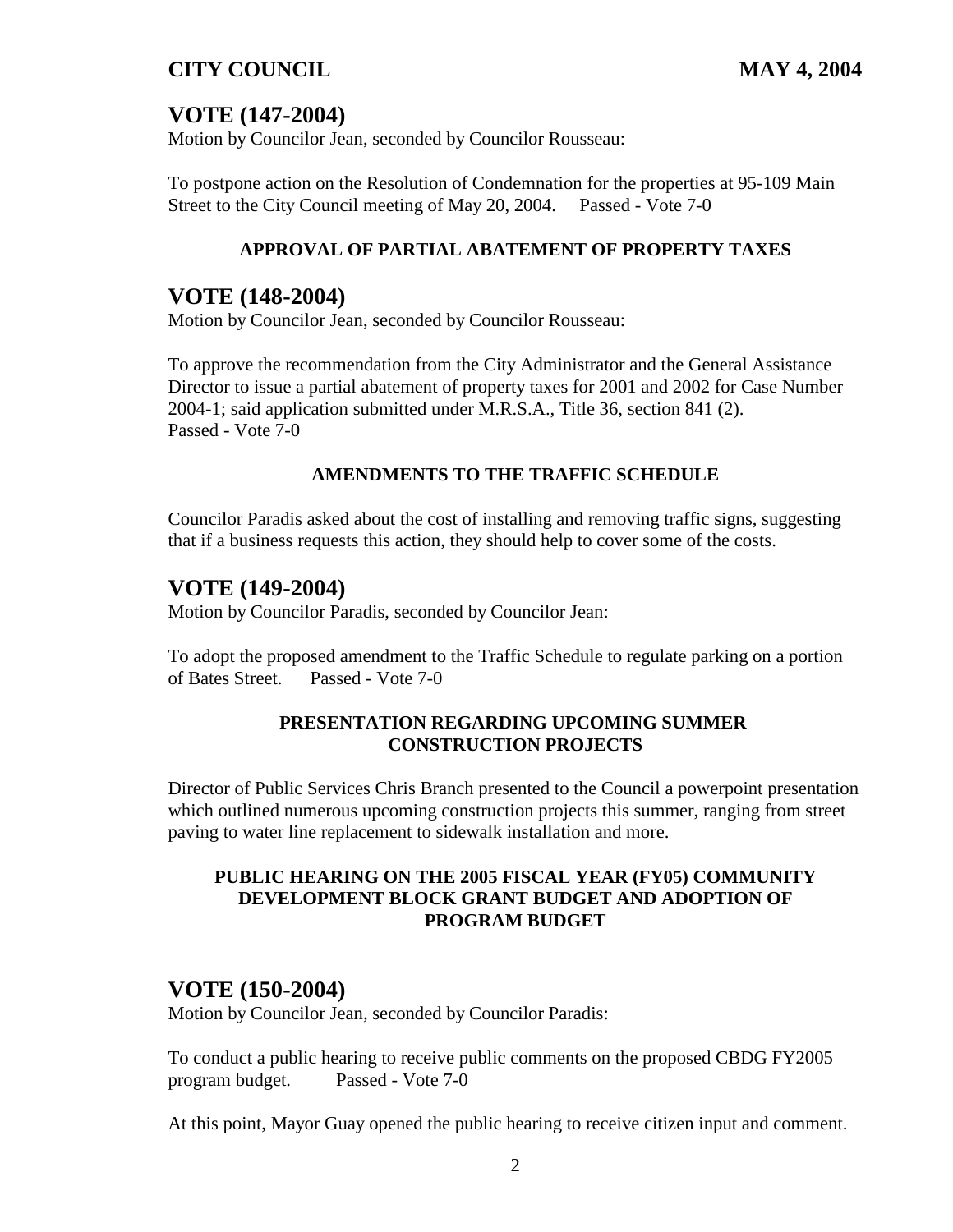## **VOTE (147-2004)**

Motion by Councilor Jean, seconded by Councilor Rousseau:

To postpone action on the Resolution of Condemnation for the properties at 95-109 Main Street to the City Council meeting of May 20, 2004. Passed - Vote 7-0

## **APPROVAL OF PARTIAL ABATEMENT OF PROPERTY TAXES**

## **VOTE (148-2004)**

Motion by Councilor Jean, seconded by Councilor Rousseau:

To approve the recommendation from the City Administrator and the General Assistance Director to issue a partial abatement of property taxes for 2001 and 2002 for Case Number 2004-1; said application submitted under M.R.S.A., Title 36, section 841 (2). Passed - Vote 7-0

## **AMENDMENTS TO THE TRAFFIC SCHEDULE**

Councilor Paradis asked about the cost of installing and removing traffic signs, suggesting that if a business requests this action, they should help to cover some of the costs.

## **VOTE (149-2004)**

Motion by Councilor Paradis, seconded by Councilor Jean:

To adopt the proposed amendment to the Traffic Schedule to regulate parking on a portion of Bates Street. Passed - Vote 7-0

#### **PRESENTATION REGARDING UPCOMING SUMMER CONSTRUCTION PROJECTS**

Director of Public Services Chris Branch presented to the Council a powerpoint presentation which outlined numerous upcoming construction projects this summer, ranging from street paving to water line replacement to sidewalk installation and more.

### **PUBLIC HEARING ON THE 2005 FISCAL YEAR (FY05) COMMUNITY DEVELOPMENT BLOCK GRANT BUDGET AND ADOPTION OF PROGRAM BUDGET**

## **VOTE (150-2004)**

Motion by Councilor Jean, seconded by Councilor Paradis:

To conduct a public hearing to receive public comments on the proposed CBDG FY2005 program budget. Passed - Vote 7-0

At this point, Mayor Guay opened the public hearing to receive citizen input and comment.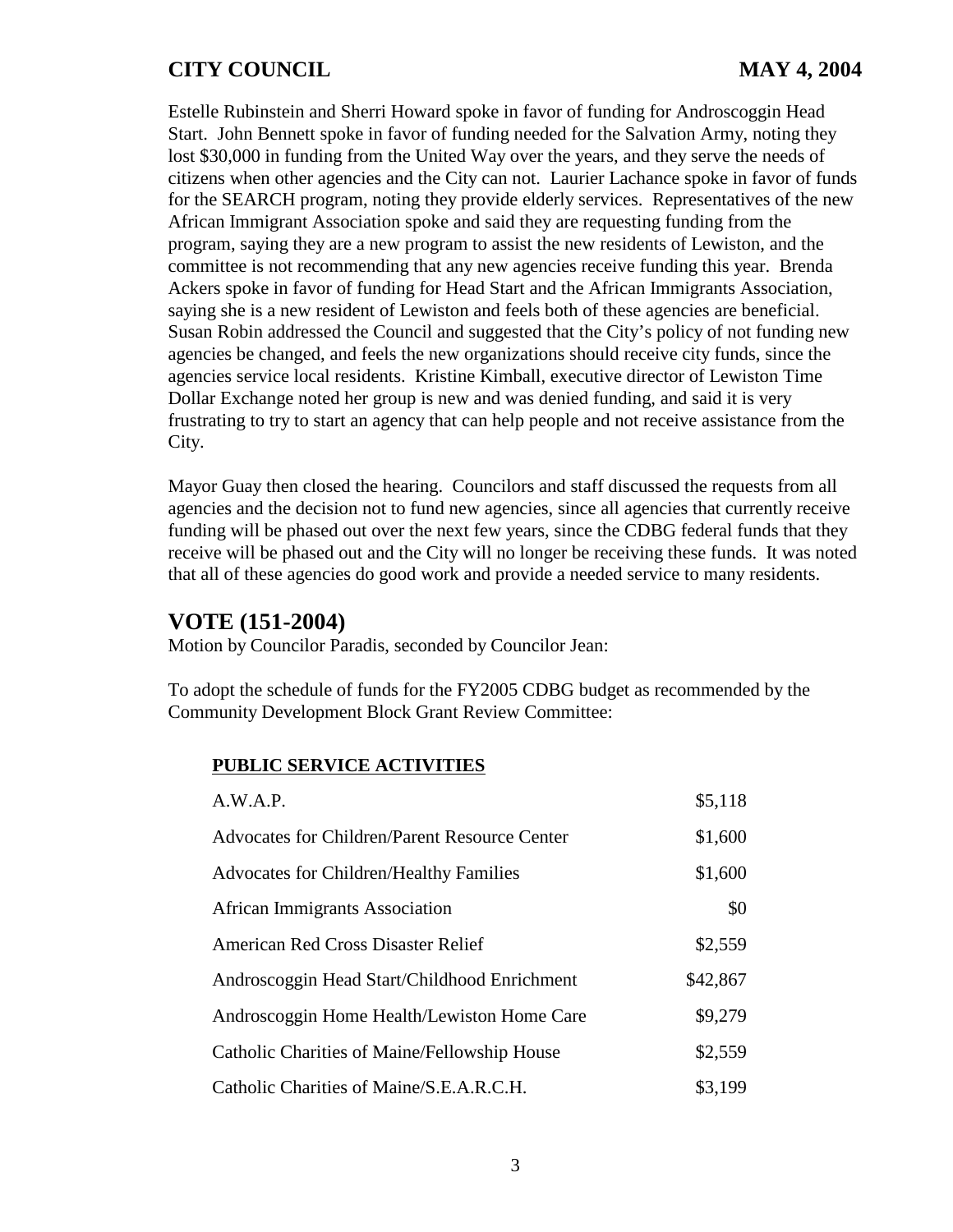Estelle Rubinstein and Sherri Howard spoke in favor of funding for Androscoggin Head Start. John Bennett spoke in favor of funding needed for the Salvation Army, noting they lost \$30,000 in funding from the United Way over the years, and they serve the needs of citizens when other agencies and the City can not. Laurier Lachance spoke in favor of funds for the SEARCH program, noting they provide elderly services. Representatives of the new African Immigrant Association spoke and said they are requesting funding from the program, saying they are a new program to assist the new residents of Lewiston, and the committee is not recommending that any new agencies receive funding this year. Brenda Ackers spoke in favor of funding for Head Start and the African Immigrants Association, saying she is a new resident of Lewiston and feels both of these agencies are beneficial. Susan Robin addressed the Council and suggested that the City's policy of not funding new agencies be changed, and feels the new organizations should receive city funds, since the agencies service local residents. Kristine Kimball, executive director of Lewiston Time Dollar Exchange noted her group is new and was denied funding, and said it is very frustrating to try to start an agency that can help people and not receive assistance from the City.

Mayor Guay then closed the hearing. Councilors and staff discussed the requests from all agencies and the decision not to fund new agencies, since all agencies that currently receive funding will be phased out over the next few years, since the CDBG federal funds that they receive will be phased out and the City will no longer be receiving these funds. It was noted that all of these agencies do good work and provide a needed service to many residents.

#### **VOTE (151-2004)**

Motion by Councilor Paradis, seconded by Councilor Jean:

To adopt the schedule of funds for the FY2005 CDBG budget as recommended by the Community Development Block Grant Review Committee:

#### **PUBLIC SERVICE ACTIVITIES**

| A.W.A.P.                                             | \$5,118  |  |
|------------------------------------------------------|----------|--|
| <b>Advocates for Children/Parent Resource Center</b> | \$1,600  |  |
| <b>Advocates for Children/Healthy Families</b>       | \$1,600  |  |
| <b>African Immigrants Association</b>                | \$0      |  |
| <b>American Red Cross Disaster Relief</b>            | \$2,559  |  |
| Androscoggin Head Start/Childhood Enrichment         | \$42,867 |  |
| Androscoggin Home Health/Lewiston Home Care          | \$9,279  |  |
| Catholic Charities of Maine/Fellowship House         | \$2,559  |  |
| Catholic Charities of Maine/S.E.A.R.C.H.             | \$3,199  |  |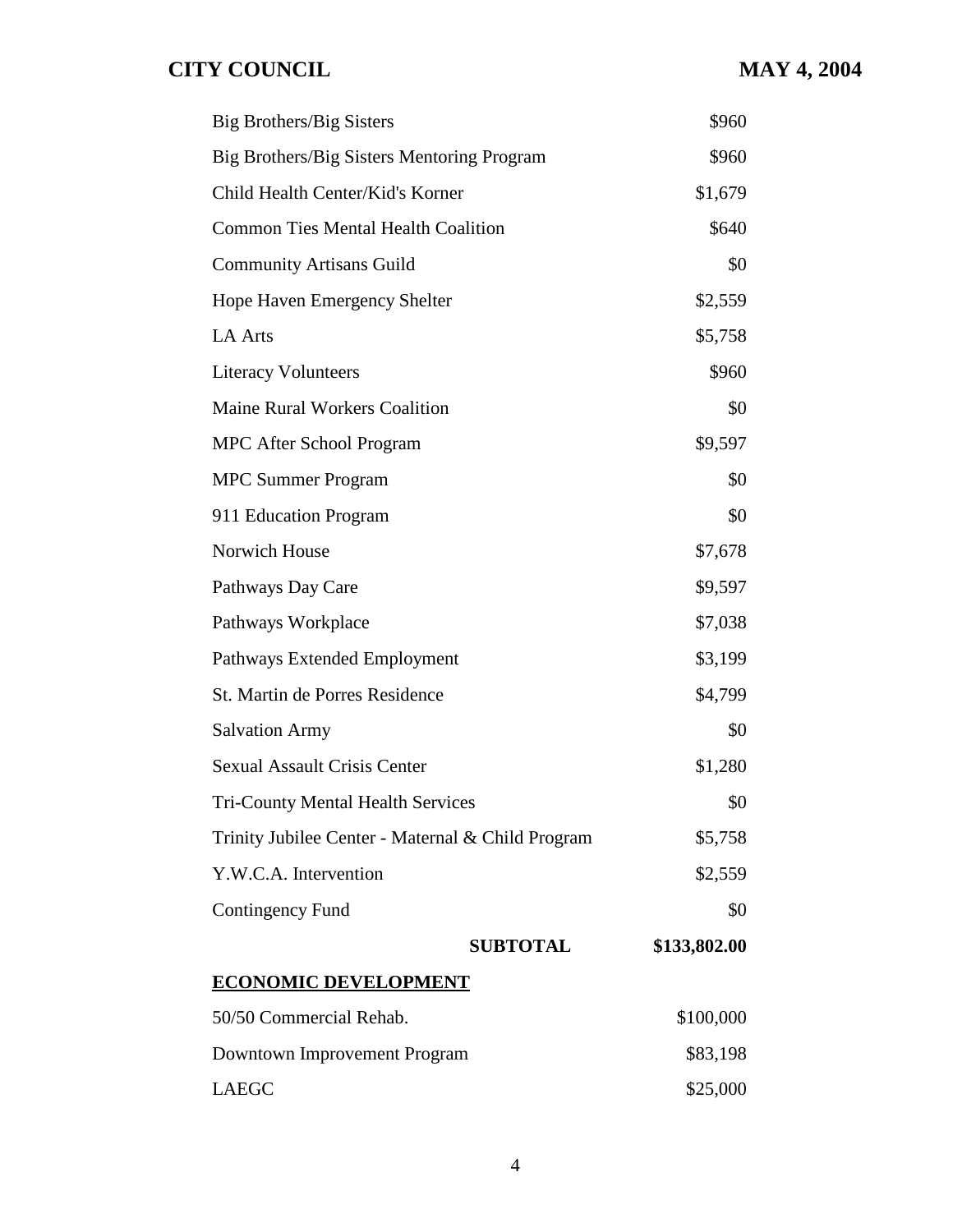| <b>Big Brothers/Big Sisters</b>                   | \$960        |  |
|---------------------------------------------------|--------------|--|
| Big Brothers/Big Sisters Mentoring Program        | \$960        |  |
| Child Health Center/Kid's Korner                  | \$1,679      |  |
| <b>Common Ties Mental Health Coalition</b>        | \$640        |  |
| <b>Community Artisans Guild</b>                   | \$0          |  |
| Hope Haven Emergency Shelter                      | \$2,559      |  |
| <b>LA Arts</b>                                    | \$5,758      |  |
| <b>Literacy Volunteers</b>                        | \$960        |  |
| <b>Maine Rural Workers Coalition</b>              | \$0          |  |
| <b>MPC After School Program</b>                   | \$9,597      |  |
| <b>MPC Summer Program</b>                         | \$0          |  |
| 911 Education Program                             | \$0          |  |
| Norwich House                                     | \$7,678      |  |
| Pathways Day Care                                 | \$9,597      |  |
| Pathways Workplace                                | \$7,038      |  |
| Pathways Extended Employment                      | \$3,199      |  |
| St. Martin de Porres Residence                    | \$4,799      |  |
| <b>Salvation Army</b>                             | \$0          |  |
| <b>Sexual Assault Crisis Center</b>               | \$1,280      |  |
| <b>Tri-County Mental Health Services</b>          | \$0          |  |
| Trinity Jubilee Center - Maternal & Child Program | \$5,758      |  |
| Y.W.C.A. Intervention                             | \$2,559      |  |
| Contingency Fund                                  | \$0          |  |
| <b>SUBTOTAL</b>                                   | \$133,802.00 |  |
| <b>ECONOMIC DEVELOPMENT</b>                       |              |  |
| 50/50 Commercial Rehab.                           | \$100,000    |  |
| Downtown Improvement Program                      | \$83,198     |  |
| <b>LAEGC</b>                                      | \$25,000     |  |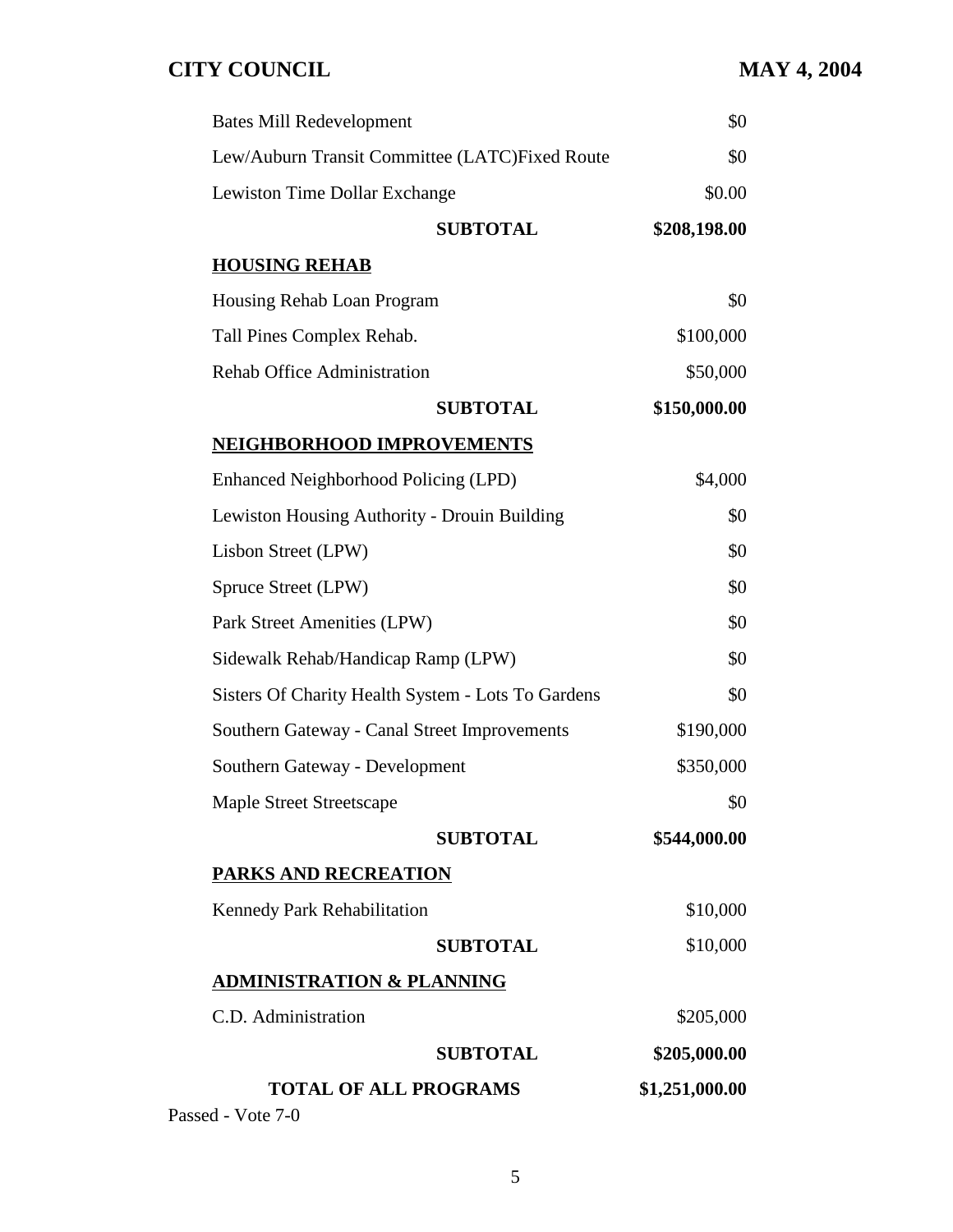| Lew/Auburn Transit Committee (LATC)Fixed Route     | \$0          |
|----------------------------------------------------|--------------|
|                                                    |              |
| Lewiston Time Dollar Exchange                      | \$0.00       |
| <b>SUBTOTAL</b>                                    | \$208,198.00 |
| <b>HOUSING REHAB</b>                               |              |
| Housing Rehab Loan Program                         | \$0          |
| Tall Pines Complex Rehab.                          | \$100,000    |
| <b>Rehab Office Administration</b>                 | \$50,000     |
| <b>SUBTOTAL</b>                                    | \$150,000.00 |
| NEIGHBORHOOD IMPROVEMENTS                          |              |
| Enhanced Neighborhood Policing (LPD)               | \$4,000      |
| Lewiston Housing Authority - Drouin Building       | \$0          |
| Lisbon Street (LPW)                                | \$0          |
| Spruce Street (LPW)                                | \$0          |
| Park Street Amenities (LPW)                        | \$0          |
| Sidewalk Rehab/Handicap Ramp (LPW)                 | \$0          |
| Sisters Of Charity Health System - Lots To Gardens | \$0          |
| Southern Gateway - Canal Street Improvements       | \$190,000    |
| Southern Gateway - Development                     | \$350,000    |
| <b>Maple Street Streetscape</b>                    | \$0          |
| <b>SUBTOTAL</b>                                    | \$544,000.00 |
| PARKS AND RECREATION                               |              |
| Kennedy Park Rehabilitation                        | \$10,000     |
| <b>SUBTOTAL</b>                                    | \$10,000     |
| <b>ADMINISTRATION &amp; PLANNING</b>               |              |
| C.D. Administration                                | \$205,000    |
| <b>SUBTOTAL</b>                                    | \$205,000.00 |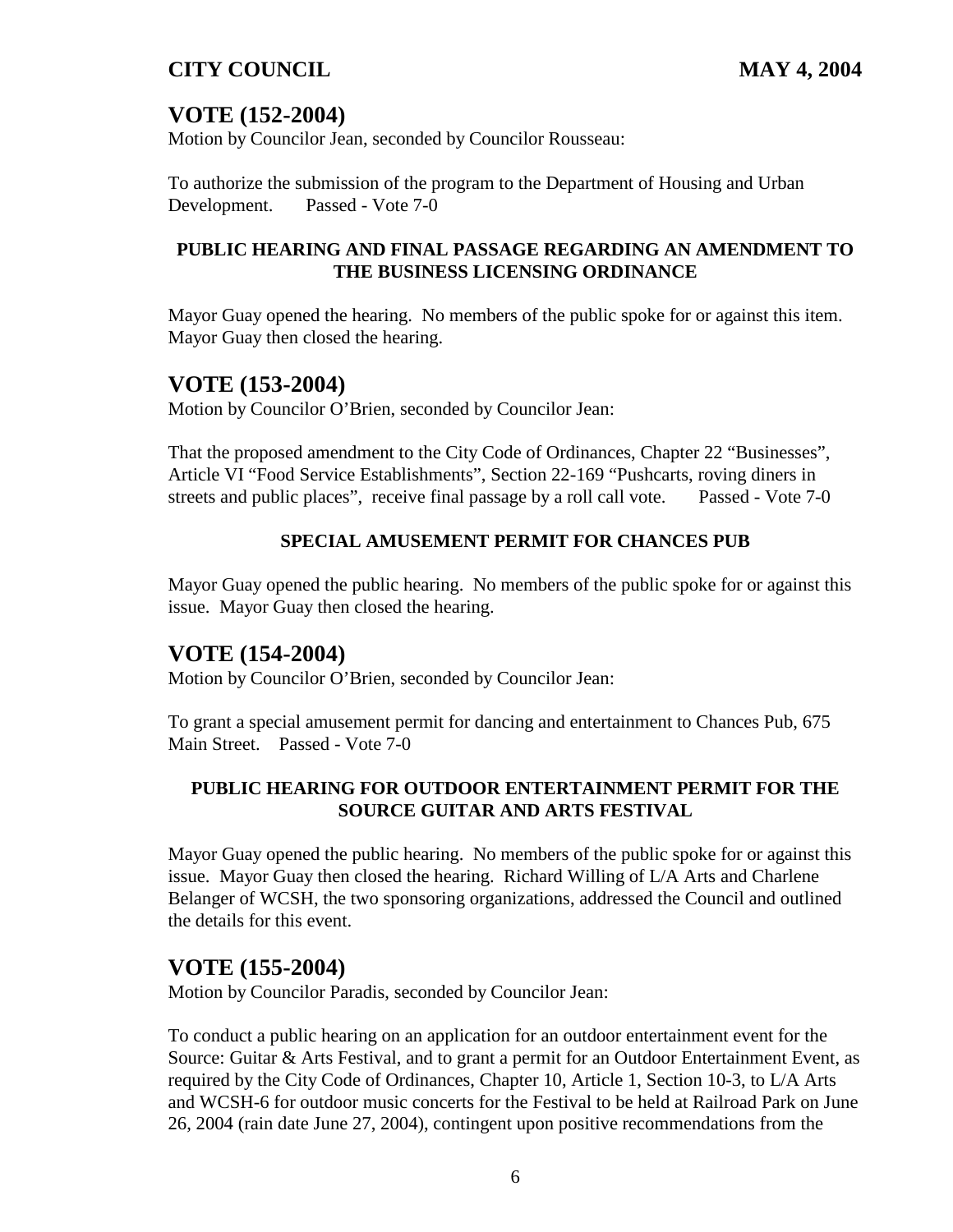## **VOTE (152-2004)**

Motion by Councilor Jean, seconded by Councilor Rousseau:

To authorize the submission of the program to the Department of Housing and Urban Development. Passed - Vote 7-0

#### **PUBLIC HEARING AND FINAL PASSAGE REGARDING AN AMENDMENT TO THE BUSINESS LICENSING ORDINANCE**

Mayor Guay opened the hearing. No members of the public spoke for or against this item. Mayor Guay then closed the hearing.

## **VOTE (153-2004)**

Motion by Councilor O'Brien, seconded by Councilor Jean:

That the proposed amendment to the City Code of Ordinances, Chapter 22 "Businesses", Article VI "Food Service Establishments", Section 22-169 "Pushcarts, roving diners in streets and public places", receive final passage by a roll call vote. Passed - Vote 7-0

## **SPECIAL AMUSEMENT PERMIT FOR CHANCES PUB**

Mayor Guay opened the public hearing. No members of the public spoke for or against this issue. Mayor Guay then closed the hearing.

## **VOTE (154-2004)**

Motion by Councilor O'Brien, seconded by Councilor Jean:

To grant a special amusement permit for dancing and entertainment to Chances Pub, 675 Main Street. Passed - Vote 7-0

## **PUBLIC HEARING FOR OUTDOOR ENTERTAINMENT PERMIT FOR THE SOURCE GUITAR AND ARTS FESTIVAL**

Mayor Guay opened the public hearing. No members of the public spoke for or against this issue. Mayor Guay then closed the hearing. Richard Willing of L/A Arts and Charlene Belanger of WCSH, the two sponsoring organizations, addressed the Council and outlined the details for this event.

## **VOTE (155-2004)**

Motion by Councilor Paradis, seconded by Councilor Jean:

To conduct a public hearing on an application for an outdoor entertainment event for the Source: Guitar & Arts Festival, and to grant a permit for an Outdoor Entertainment Event, as required by the City Code of Ordinances, Chapter 10, Article 1, Section 10-3, to L/A Arts and WCSH-6 for outdoor music concerts for the Festival to be held at Railroad Park on June 26, 2004 (rain date June 27, 2004), contingent upon positive recommendations from the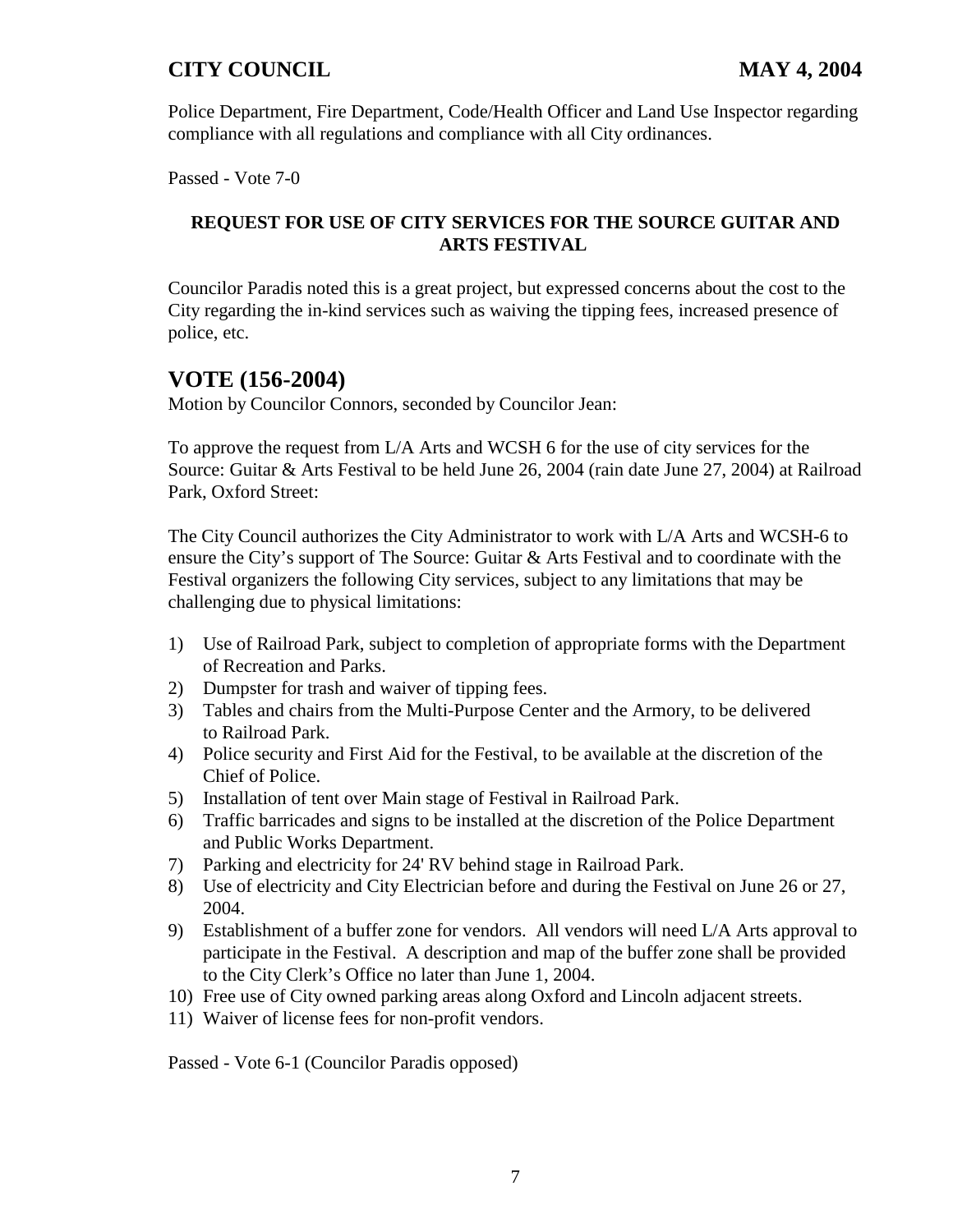Police Department, Fire Department, Code/Health Officer and Land Use Inspector regarding compliance with all regulations and compliance with all City ordinances.

Passed - Vote 7-0

## **REQUEST FOR USE OF CITY SERVICES FOR THE SOURCE GUITAR AND ARTS FESTIVAL**

Councilor Paradis noted this is a great project, but expressed concerns about the cost to the City regarding the in-kind services such as waiving the tipping fees, increased presence of police, etc.

## **VOTE (156-2004)**

Motion by Councilor Connors, seconded by Councilor Jean:

To approve the request from L/A Arts and WCSH 6 for the use of city services for the Source: Guitar & Arts Festival to be held June 26, 2004 (rain date June 27, 2004) at Railroad Park, Oxford Street:

The City Council authorizes the City Administrator to work with L/A Arts and WCSH-6 to ensure the City's support of The Source: Guitar & Arts Festival and to coordinate with the Festival organizers the following City services, subject to any limitations that may be challenging due to physical limitations:

- 1) Use of Railroad Park, subject to completion of appropriate forms with the Department of Recreation and Parks.
- 2) Dumpster for trash and waiver of tipping fees.
- 3) Tables and chairs from the Multi-Purpose Center and the Armory, to be delivered to Railroad Park.
- 4) Police security and First Aid for the Festival, to be available at the discretion of the Chief of Police.
- 5) Installation of tent over Main stage of Festival in Railroad Park.
- 6) Traffic barricades and signs to be installed at the discretion of the Police Department and Public Works Department.
- 7) Parking and electricity for 24' RV behind stage in Railroad Park.
- 8) Use of electricity and City Electrician before and during the Festival on June 26 or 27, 2004.
- 9) Establishment of a buffer zone for vendors. All vendors will need L/A Arts approval to participate in the Festival. A description and map of the buffer zone shall be provided to the City Clerk's Office no later than June 1, 2004.
- 10) Free use of City owned parking areas along Oxford and Lincoln adjacent streets.
- 11) Waiver of license fees for non-profit vendors.

Passed - Vote 6-1 (Councilor Paradis opposed)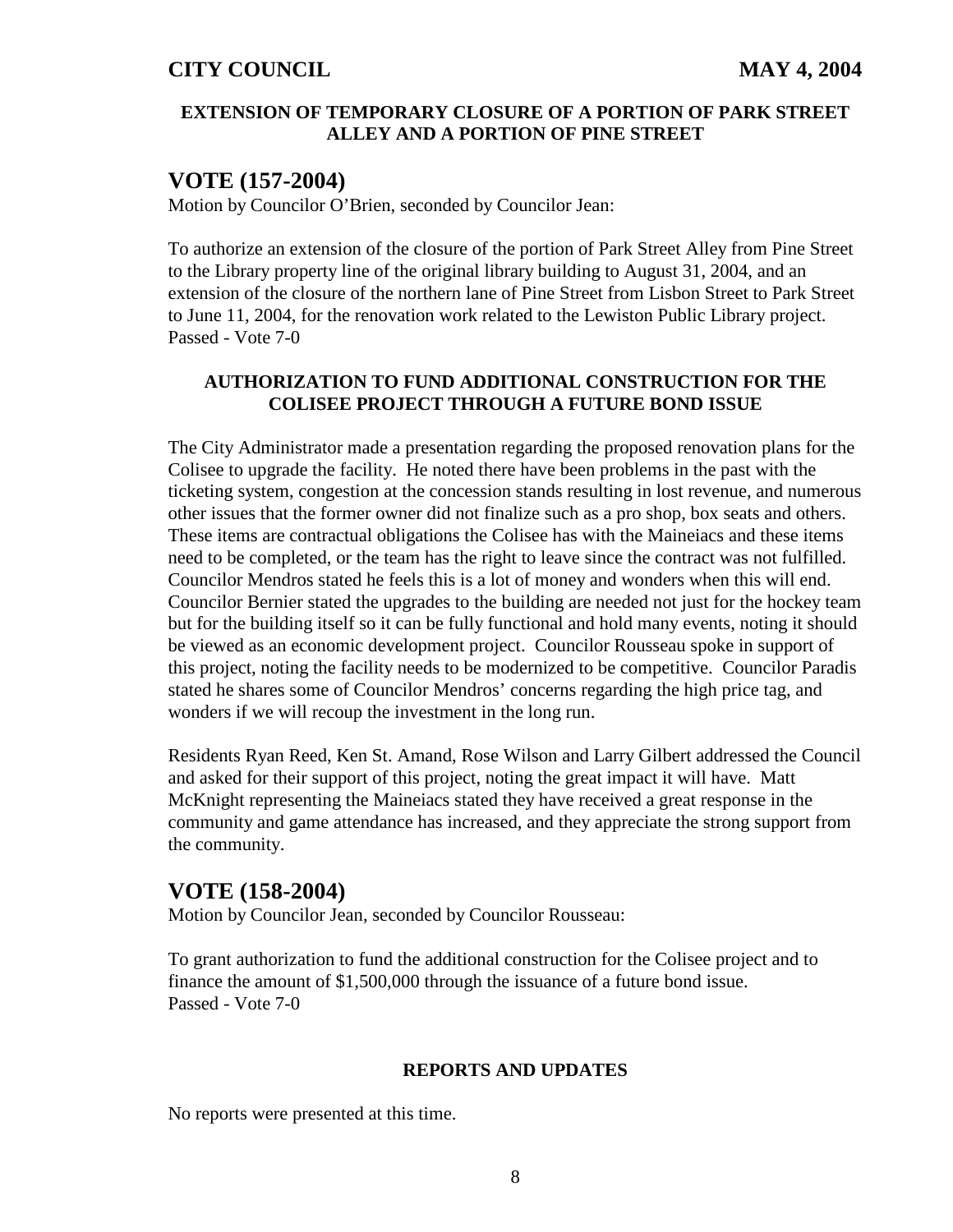#### **EXTENSION OF TEMPORARY CLOSURE OF A PORTION OF PARK STREET ALLEY AND A PORTION OF PINE STREET**

## **VOTE (157-2004)**

Motion by Councilor O'Brien, seconded by Councilor Jean:

To authorize an extension of the closure of the portion of Park Street Alley from Pine Street to the Library property line of the original library building to August 31, 2004, and an extension of the closure of the northern lane of Pine Street from Lisbon Street to Park Street to June 11, 2004, for the renovation work related to the Lewiston Public Library project. Passed - Vote 7-0

#### **AUTHORIZATION TO FUND ADDITIONAL CONSTRUCTION FOR THE COLISEE PROJECT THROUGH A FUTURE BOND ISSUE**

The City Administrator made a presentation regarding the proposed renovation plans for the Colisee to upgrade the facility. He noted there have been problems in the past with the ticketing system, congestion at the concession stands resulting in lost revenue, and numerous other issues that the former owner did not finalize such as a pro shop, box seats and others. These items are contractual obligations the Colisee has with the Maineiacs and these items need to be completed, or the team has the right to leave since the contract was not fulfilled. Councilor Mendros stated he feels this is a lot of money and wonders when this will end. Councilor Bernier stated the upgrades to the building are needed not just for the hockey team but for the building itself so it can be fully functional and hold many events, noting it should be viewed as an economic development project. Councilor Rousseau spoke in support of this project, noting the facility needs to be modernized to be competitive. Councilor Paradis stated he shares some of Councilor Mendros' concerns regarding the high price tag, and wonders if we will recoup the investment in the long run.

Residents Ryan Reed, Ken St. Amand, Rose Wilson and Larry Gilbert addressed the Council and asked for their support of this project, noting the great impact it will have. Matt McKnight representing the Maineiacs stated they have received a great response in the community and game attendance has increased, and they appreciate the strong support from the community.

## **VOTE (158-2004)**

Motion by Councilor Jean, seconded by Councilor Rousseau:

To grant authorization to fund the additional construction for the Colisee project and to finance the amount of \$1,500,000 through the issuance of a future bond issue. Passed - Vote 7-0

#### **REPORTS AND UPDATES**

No reports were presented at this time.